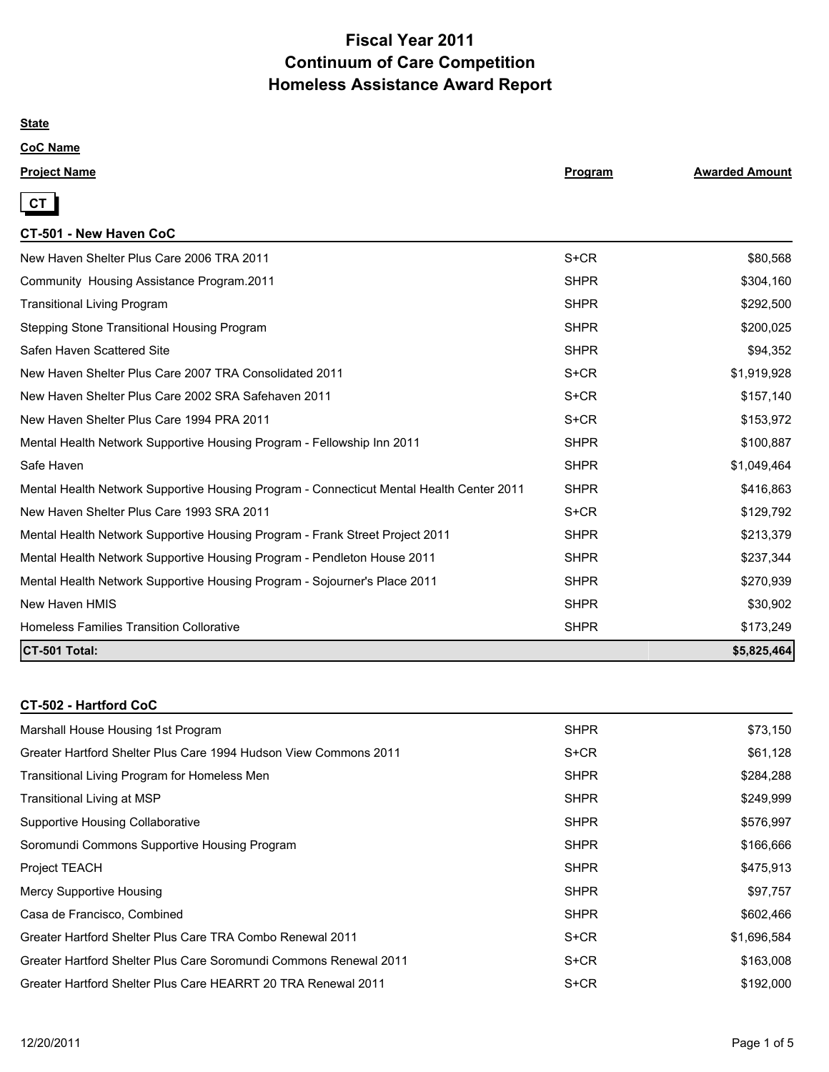# **Fiscal Year 2011 Continuum of Care Competition Homeless Assistance Award Report**

### **State**

## **CoC Name**

| <b>Project Name</b> | Program | <b>Awarded Amount</b> |
|---------------------|---------|-----------------------|
|                     |         |                       |



## **CT-501 - New Haven CoC**

| New Haven Shelter Plus Care 2006 TRA 2011                                                | $S+CR$      | \$80,568    |
|------------------------------------------------------------------------------------------|-------------|-------------|
| Community Housing Assistance Program.2011                                                | <b>SHPR</b> | \$304,160   |
| <b>Transitional Living Program</b>                                                       | <b>SHPR</b> | \$292,500   |
| Stepping Stone Transitional Housing Program                                              | <b>SHPR</b> | \$200,025   |
| Safen Haven Scattered Site                                                               | <b>SHPR</b> | \$94,352    |
| New Haven Shelter Plus Care 2007 TRA Consolidated 2011                                   | S+CR        | \$1,919,928 |
| New Haven Shelter Plus Care 2002 SRA Safehaven 2011                                      | $S + CR$    | \$157,140   |
| New Haven Shelter Plus Care 1994 PRA 2011                                                | S+CR        | \$153,972   |
| Mental Health Network Supportive Housing Program - Fellowship Inn 2011                   | <b>SHPR</b> | \$100,887   |
| Safe Haven                                                                               | <b>SHPR</b> | \$1,049,464 |
| Mental Health Network Supportive Housing Program - Connecticut Mental Health Center 2011 | <b>SHPR</b> | \$416,863   |
| New Haven Shelter Plus Care 1993 SRA 2011                                                | S+CR        | \$129,792   |
| Mental Health Network Supportive Housing Program - Frank Street Project 2011             | <b>SHPR</b> | \$213,379   |
| Mental Health Network Supportive Housing Program - Pendleton House 2011                  | <b>SHPR</b> | \$237,344   |
| Mental Health Network Supportive Housing Program - Sojourner's Place 2011                | <b>SHPR</b> | \$270,939   |
| New Haven HMIS                                                                           | <b>SHPR</b> | \$30,902    |
| <b>Homeless Families Transition Collorative</b>                                          | <b>SHPR</b> | \$173,249   |
| CT-501 Total:                                                                            |             | \$5,825,464 |

### **CT-502 - Hartford CoC**

| Marshall House Housing 1st Program                                | <b>SHPR</b> | \$73,150    |
|-------------------------------------------------------------------|-------------|-------------|
| Greater Hartford Shelter Plus Care 1994 Hudson View Commons 2011  | S+CR        | \$61,128    |
| Transitional Living Program for Homeless Men                      | <b>SHPR</b> | \$284,288   |
| Transitional Living at MSP                                        | <b>SHPR</b> | \$249,999   |
| <b>Supportive Housing Collaborative</b>                           | <b>SHPR</b> | \$576,997   |
| Soromundi Commons Supportive Housing Program                      | <b>SHPR</b> | \$166,666   |
| <b>Project TEACH</b>                                              | <b>SHPR</b> | \$475,913   |
| Mercy Supportive Housing                                          | <b>SHPR</b> | \$97,757    |
| Casa de Francisco, Combined                                       | <b>SHPR</b> | \$602,466   |
| Greater Hartford Shelter Plus Care TRA Combo Renewal 2011         | S+CR        | \$1,696,584 |
| Greater Hartford Shelter Plus Care Soromundi Commons Renewal 2011 | $S+CR$      | \$163,008   |
| Greater Hartford Shelter Plus Care HEARRT 20 TRA Renewal 2011     | S+CR        | \$192,000   |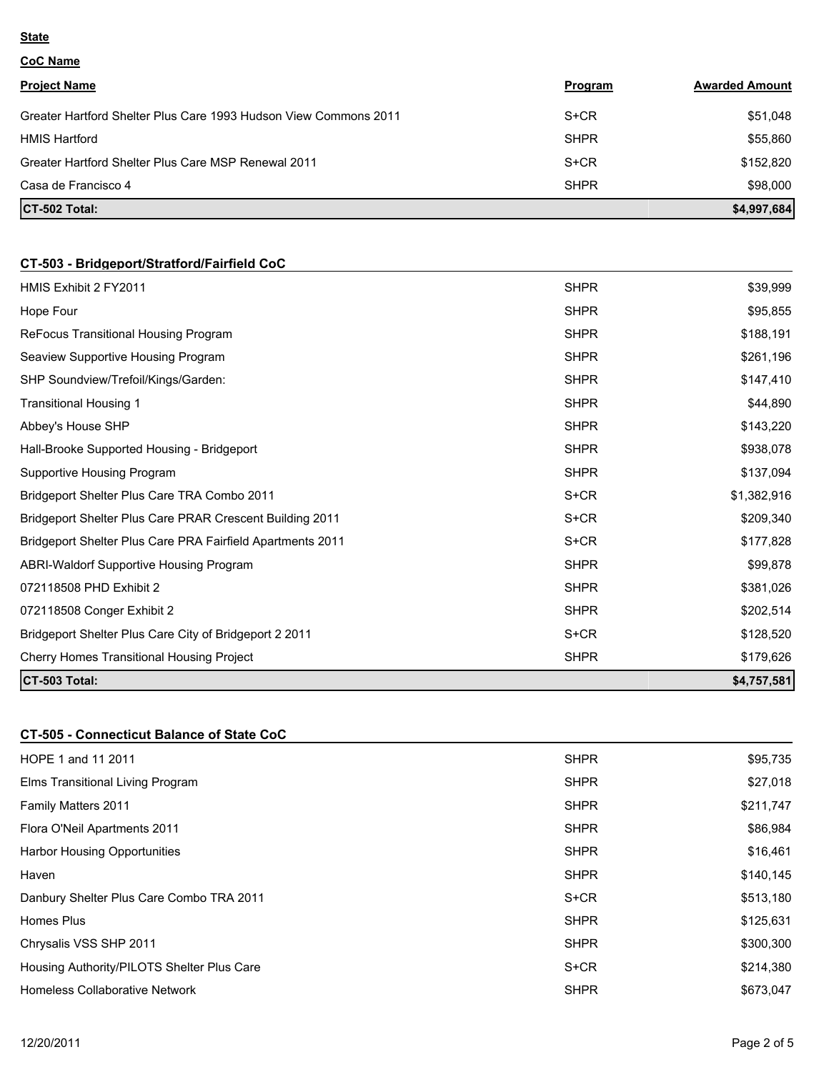#### **State**

**CoC Name**

| <b>Project Name</b>                                              | Program     | <b>Awarded Amount</b> |
|------------------------------------------------------------------|-------------|-----------------------|
| Greater Hartford Shelter Plus Care 1993 Hudson View Commons 2011 | $S+CR$      | \$51,048              |
| <b>HMIS Hartford</b>                                             | <b>SHPR</b> | \$55,860              |
| Greater Hartford Shelter Plus Care MSP Renewal 2011              | $S+CR$      | \$152.820             |
| Casa de Francisco 4                                              | <b>SHPR</b> | \$98,000              |
| CT-502 Total:                                                    |             | \$4,997,684           |

# **CT-503 - Bridgeport/Stratford/Fairfield CoC**

| HMIS Exhibit 2 FY2011                                             | <b>SHPR</b> | \$39,999    |
|-------------------------------------------------------------------|-------------|-------------|
| Hope Four                                                         | <b>SHPR</b> | \$95,855    |
| ReFocus Transitional Housing Program                              | <b>SHPR</b> | \$188,191   |
| Seaview Supportive Housing Program                                | <b>SHPR</b> | \$261,196   |
| SHP Soundview/Trefoil/Kings/Garden:                               | <b>SHPR</b> | \$147,410   |
| Transitional Housing 1                                            | <b>SHPR</b> | \$44,890    |
| Abbey's House SHP                                                 | <b>SHPR</b> | \$143,220   |
| Hall-Brooke Supported Housing - Bridgeport                        | <b>SHPR</b> | \$938,078   |
| Supportive Housing Program                                        | <b>SHPR</b> | \$137,094   |
| Bridgeport Shelter Plus Care TRA Combo 2011                       | S+CR        | \$1,382,916 |
| <b>Bridgeport Shelter Plus Care PRAR Crescent Building 2011</b>   | S+CR        | \$209,340   |
| <b>Bridgeport Shelter Plus Care PRA Fairfield Apartments 2011</b> | S+CR        | \$177,828   |
| ABRI-Waldorf Supportive Housing Program                           | <b>SHPR</b> | \$99,878    |
| 072118508 PHD Exhibit 2                                           | <b>SHPR</b> | \$381,026   |
| 072118508 Conger Exhibit 2                                        | <b>SHPR</b> | \$202,514   |
| Bridgeport Shelter Plus Care City of Bridgeport 2 2011            | S+CR        | \$128,520   |
| Cherry Homes Transitional Housing Project                         | <b>SHPR</b> | \$179,626   |
| CT-503 Total:                                                     |             | \$4,757,581 |

# **CT-505 - Connecticut Balance of State CoC**

| HOPE 1 and 11 2011                         | <b>SHPR</b> | \$95,735  |
|--------------------------------------------|-------------|-----------|
| Elms Transitional Living Program           | <b>SHPR</b> | \$27,018  |
| <b>Family Matters 2011</b>                 | <b>SHPR</b> | \$211,747 |
| Flora O'Neil Apartments 2011               | <b>SHPR</b> | \$86,984  |
| <b>Harbor Housing Opportunities</b>        | <b>SHPR</b> | \$16,461  |
| Haven                                      | <b>SHPR</b> | \$140,145 |
| Danbury Shelter Plus Care Combo TRA 2011   | $S+CR$      | \$513,180 |
| Homes Plus                                 | <b>SHPR</b> | \$125,631 |
| Chrysalis VSS SHP 2011                     | <b>SHPR</b> | \$300,300 |
| Housing Authority/PILOTS Shelter Plus Care | $S + CR$    | \$214,380 |
| Homeless Collaborative Network             | <b>SHPR</b> | \$673.047 |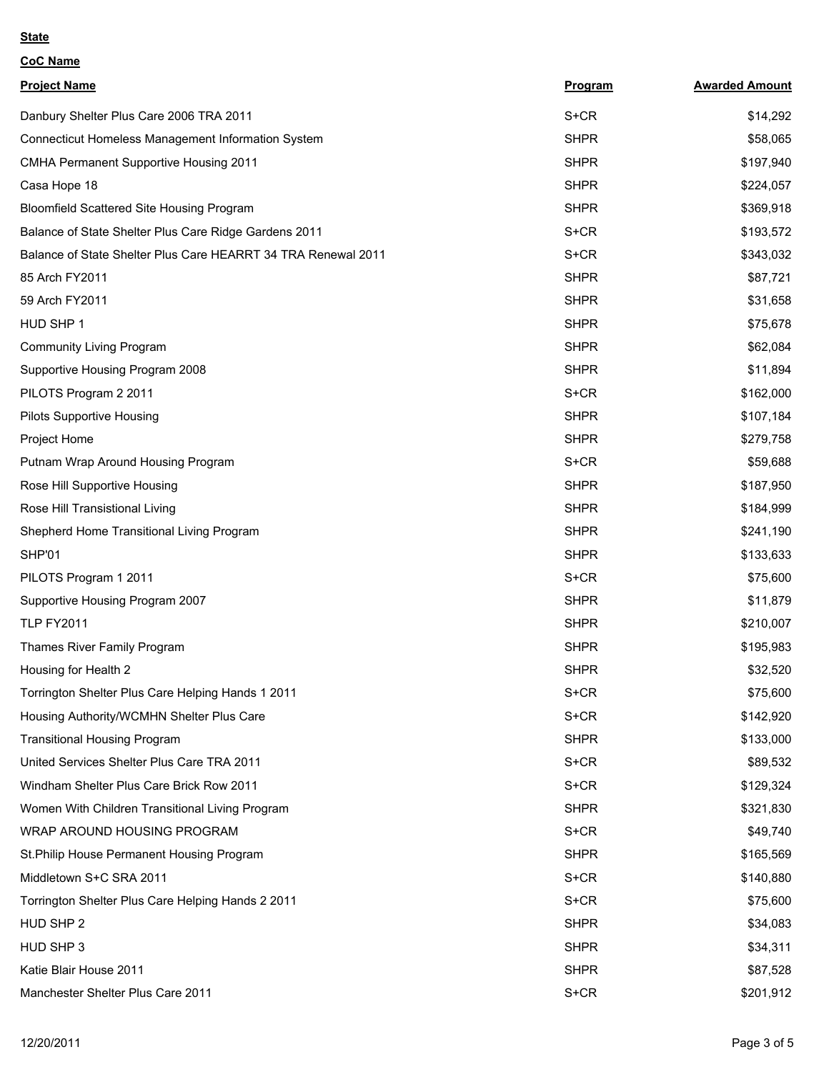#### **State**

**CoC Name**

| <b>Project Name</b>                                           | <b>Program</b> | <b>Awarded Amount</b> |
|---------------------------------------------------------------|----------------|-----------------------|
| Danbury Shelter Plus Care 2006 TRA 2011                       | S+CR           | \$14,292              |
| Connecticut Homeless Management Information System            | <b>SHPR</b>    | \$58,065              |
| CMHA Permanent Supportive Housing 2011                        | <b>SHPR</b>    | \$197,940             |
| Casa Hope 18                                                  | <b>SHPR</b>    | \$224,057             |
| Bloomfield Scattered Site Housing Program                     | <b>SHPR</b>    | \$369,918             |
| Balance of State Shelter Plus Care Ridge Gardens 2011         | S+CR           | \$193,572             |
| Balance of State Shelter Plus Care HEARRT 34 TRA Renewal 2011 | S+CR           | \$343,032             |
| 85 Arch FY2011                                                | <b>SHPR</b>    | \$87,721              |
| 59 Arch FY2011                                                | <b>SHPR</b>    | \$31,658              |
| HUD SHP 1                                                     | <b>SHPR</b>    | \$75,678              |
| <b>Community Living Program</b>                               | <b>SHPR</b>    | \$62,084              |
| Supportive Housing Program 2008                               | <b>SHPR</b>    | \$11,894              |
| PILOTS Program 2 2011                                         | S+CR           | \$162,000             |
| <b>Pilots Supportive Housing</b>                              | <b>SHPR</b>    | \$107,184             |
| Project Home                                                  | <b>SHPR</b>    | \$279,758             |
| Putnam Wrap Around Housing Program                            | S+CR           | \$59,688              |
| Rose Hill Supportive Housing                                  | <b>SHPR</b>    | \$187,950             |
| Rose Hill Transistional Living                                | <b>SHPR</b>    | \$184,999             |
| Shepherd Home Transitional Living Program                     | <b>SHPR</b>    | \$241,190             |
| SHP'01                                                        | <b>SHPR</b>    | \$133,633             |
| PILOTS Program 1 2011                                         | S+CR           | \$75,600              |
| Supportive Housing Program 2007                               | <b>SHPR</b>    | \$11,879              |
| <b>TLP FY2011</b>                                             | <b>SHPR</b>    | \$210,007             |
| Thames River Family Program                                   | <b>SHPR</b>    | \$195,983             |
| Housing for Health 2                                          | <b>SHPR</b>    | \$32,520              |
| Torrington Shelter Plus Care Helping Hands 1 2011             | S+CR           | \$75,600              |
| Housing Authority/WCMHN Shelter Plus Care                     | S+CR           | \$142,920             |
| <b>Transitional Housing Program</b>                           | <b>SHPR</b>    | \$133,000             |
| United Services Shelter Plus Care TRA 2011                    | S+CR           | \$89,532              |
| Windham Shelter Plus Care Brick Row 2011                      | S+CR           | \$129,324             |
| Women With Children Transitional Living Program               | <b>SHPR</b>    | \$321,830             |
| WRAP AROUND HOUSING PROGRAM                                   | S+CR           | \$49,740              |
| St. Philip House Permanent Housing Program                    | <b>SHPR</b>    | \$165,569             |
| Middletown S+C SRA 2011                                       | S+CR           | \$140,880             |
| Torrington Shelter Plus Care Helping Hands 2 2011             | S+CR           | \$75,600              |
| HUD SHP 2                                                     | <b>SHPR</b>    | \$34,083              |
| HUD SHP 3                                                     | <b>SHPR</b>    | \$34,311              |
| Katie Blair House 2011                                        | <b>SHPR</b>    | \$87,528              |
| Manchester Shelter Plus Care 2011                             | S+CR           | \$201,912             |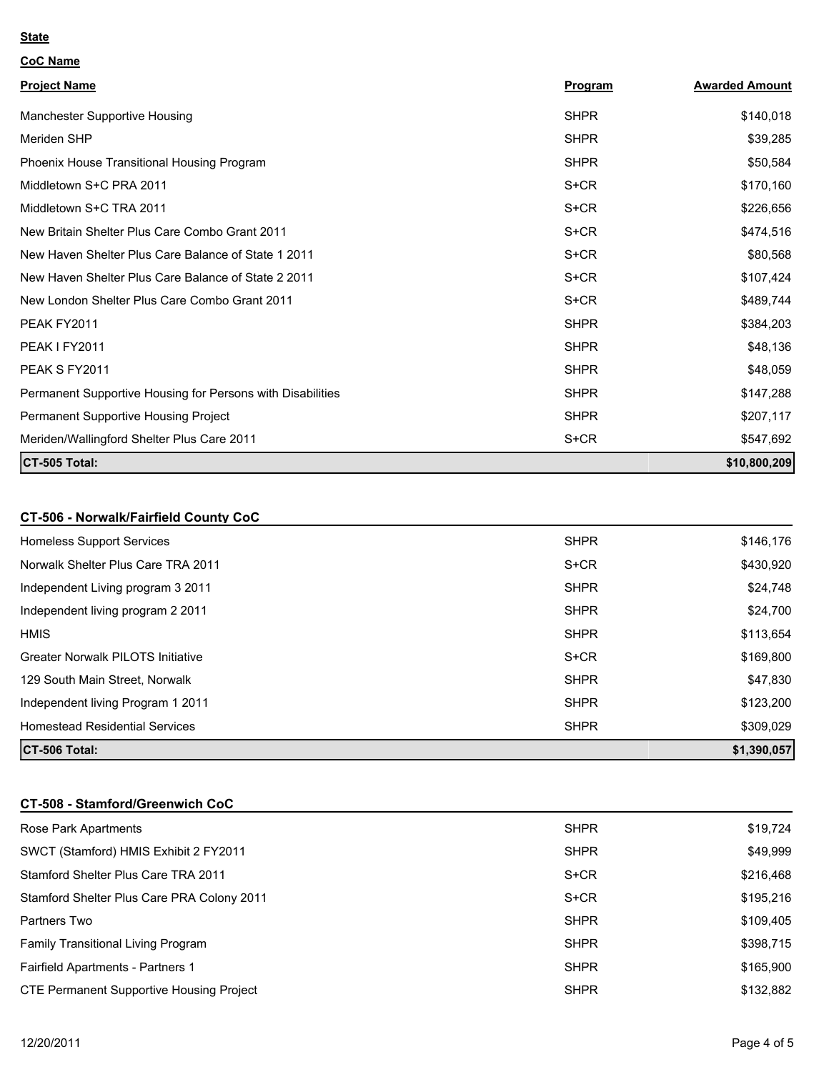#### **State**

| <b>CoC Name</b>                                            |             |                       |
|------------------------------------------------------------|-------------|-----------------------|
| <b>Project Name</b>                                        | Program     | <b>Awarded Amount</b> |
| Manchester Supportive Housing                              | <b>SHPR</b> | \$140,018             |
| Meriden SHP                                                | <b>SHPR</b> | \$39,285              |
| Phoenix House Transitional Housing Program                 | <b>SHPR</b> | \$50,584              |
| Middletown S+C PRA 2011                                    | S+CR        | \$170,160             |
| Middletown S+C TRA 2011                                    | $S + CR$    | \$226,656             |
| New Britain Shelter Plus Care Combo Grant 2011             | $S+CR$      | \$474,516             |
| New Haven Shelter Plus Care Balance of State 1 2011        | $S+CR$      | \$80,568              |
| New Haven Shelter Plus Care Balance of State 2 2011        | S+CR        | \$107,424             |
| New London Shelter Plus Care Combo Grant 2011              | $S + CR$    | \$489,744             |
| PEAK FY2011                                                | <b>SHPR</b> | \$384,203             |
| PEAK I FY2011                                              | <b>SHPR</b> | \$48,136              |
| PEAK S FY2011                                              | <b>SHPR</b> | \$48,059              |
| Permanent Supportive Housing for Persons with Disabilities | <b>SHPR</b> | \$147,288             |
| Permanent Supportive Housing Project                       | <b>SHPR</b> | \$207,117             |
| Meriden/Wallingford Shelter Plus Care 2011                 | S+CR        | \$547,692             |
| CT-505 Total:                                              |             | \$10,800,209          |

# **CT-506 - Norwalk/Fairfield County CoC**

| Homeless Support Services                | <b>SHPR</b> | \$146,176   |
|------------------------------------------|-------------|-------------|
| Norwalk Shelter Plus Care TRA 2011       | $S + CR$    | \$430,920   |
| Independent Living program 3 2011        | <b>SHPR</b> | \$24,748    |
| Independent living program 2 2011        | <b>SHPR</b> | \$24,700    |
| <b>HMIS</b>                              | <b>SHPR</b> | \$113,654   |
| <b>Greater Norwalk PILOTS Initiative</b> | S+CR        | \$169,800   |
| 129 South Main Street, Norwalk           | <b>SHPR</b> | \$47,830    |
| Independent living Program 1 2011        | <b>SHPR</b> | \$123,200   |
| <b>Homestead Residential Services</b>    | <b>SHPR</b> | \$309,029   |
| CT-506 Total:                            |             | \$1,390,057 |

## **CT-508 - Stamford/Greenwich CoC**

| Rose Park Apartments                            | <b>SHPR</b> | \$19,724  |
|-------------------------------------------------|-------------|-----------|
| SWCT (Stamford) HMIS Exhibit 2 FY2011           | <b>SHPR</b> | \$49,999  |
| Stamford Shelter Plus Care TRA 2011             | S+CR        | \$216,468 |
| Stamford Shelter Plus Care PRA Colony 2011      | S+CR        | \$195,216 |
| Partners Two                                    | <b>SHPR</b> | \$109,405 |
| Family Transitional Living Program              | <b>SHPR</b> | \$398,715 |
| Fairfield Apartments - Partners 1               | <b>SHPR</b> | \$165,900 |
| <b>CTE Permanent Supportive Housing Project</b> | <b>SHPR</b> | \$132,882 |